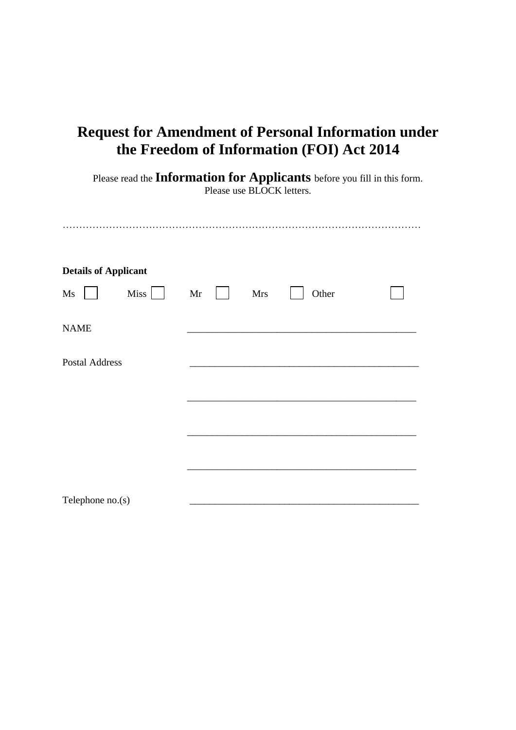| <b>Request for Amendment of Personal Information under</b><br>the Freedom of Information (FOI) Act 2014<br>Please read the Information for Applicants before you fill in this form.<br>Please use BLOCK letters. |    |            |       |  |
|------------------------------------------------------------------------------------------------------------------------------------------------------------------------------------------------------------------|----|------------|-------|--|
|                                                                                                                                                                                                                  |    |            |       |  |
| <b>Details of Applicant</b>                                                                                                                                                                                      |    |            |       |  |
| $Miss \mid$<br>$\overline{\text{Ms}}$                                                                                                                                                                            | Mr | <b>Mrs</b> | Other |  |
| <b>NAME</b>                                                                                                                                                                                                      |    |            |       |  |
| <b>Postal Address</b>                                                                                                                                                                                            |    |            |       |  |
|                                                                                                                                                                                                                  |    |            |       |  |
|                                                                                                                                                                                                                  |    |            |       |  |
|                                                                                                                                                                                                                  |    |            |       |  |
|                                                                                                                                                                                                                  |    |            |       |  |
| Telephone $no(s)$                                                                                                                                                                                                |    |            |       |  |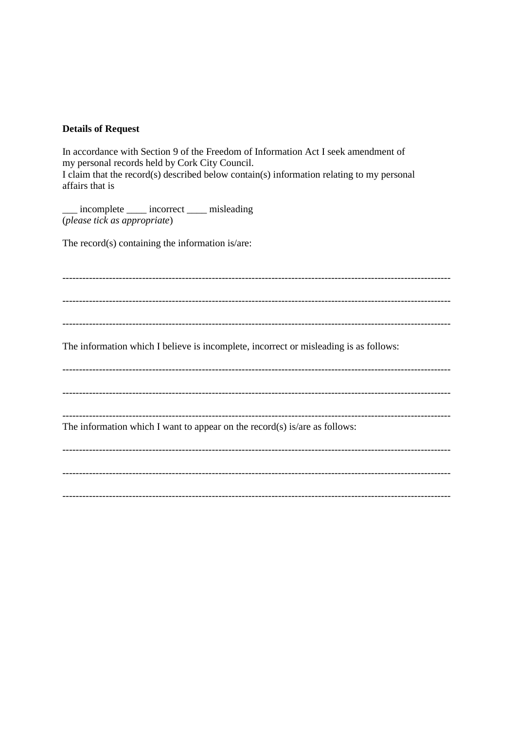## **Details of Request**

In accordance with Section 9 of the Freedom of Information Act I seek amendment of my personal records held by Cork City Council. I claim that the record(s) described below contain(s) information relating to my personal affairs that is

\_ incomplete \_\_\_\_ incorrect \_\_\_\_ misleading (please tick as appropriate)

The record( $s$ ) containing the information is/are:

The information which I believe is incomplete, incorrect or misleading is as follows: The information which I want to appear on the record(s) is/are as follows: